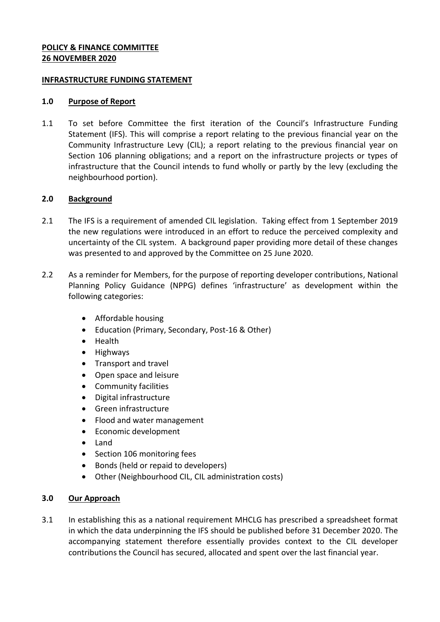# **POLICY & FINANCE COMMITTEE 26 NOVEMBER 2020**

#### **INFRASTRUCTURE FUNDING STATEMENT**

#### **1.0 Purpose of Report**

1.1 To set before Committee the first iteration of the Council's Infrastructure Funding Statement (IFS). This will comprise a report relating to the previous financial year on the Community Infrastructure Levy (CIL); a report relating to the previous financial year on Section 106 planning obligations; and a report on the infrastructure projects or types of infrastructure that the Council intends to fund wholly or partly by the levy (excluding the neighbourhood portion).

### **2.0 Background**

- 2.1 The IFS is a requirement of amended CIL legislation. Taking effect from 1 September 2019 the new regulations were introduced in an effort to reduce the perceived complexity and uncertainty of the CIL system. A background paper providing more detail of these changes was presented to and approved by the Committee on 25 June 2020.
- 2.2 As a reminder for Members, for the purpose of reporting developer contributions, National Planning Policy Guidance (NPPG) defines 'infrastructure' as development within the following categories:
	- Affordable housing
	- Education (Primary, Secondary, Post-16 & Other)
	- Health
	- Highways
	- Transport and travel
	- Open space and leisure
	- Community facilities
	- Digital infrastructure
	- Green infrastructure
	- Flood and water management
	- Economic development
	- Land
	- Section 106 monitoring fees
	- Bonds (held or repaid to developers)
	- Other (Neighbourhood CIL, CIL administration costs)

### **3.0 Our Approach**

3.1 In establishing this as a national requirement MHCLG has prescribed a spreadsheet format in which the data underpinning the IFS should be published before 31 December 2020. The accompanying statement therefore essentially provides context to the CIL developer contributions the Council has secured, allocated and spent over the last financial year.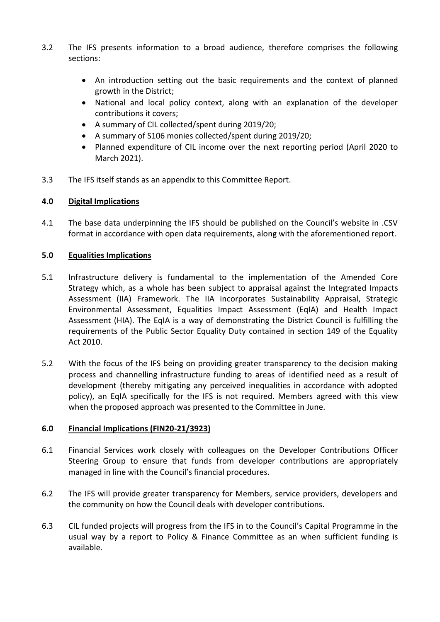- 3.2 The IFS presents information to a broad audience, therefore comprises the following sections:
	- An introduction setting out the basic requirements and the context of planned growth in the District;
	- National and local policy context, along with an explanation of the developer contributions it covers;
	- A summary of CIL collected/spent during 2019/20;
	- A summary of S106 monies collected/spent during 2019/20;
	- Planned expenditure of CIL income over the next reporting period (April 2020 to March 2021).
- 3.3 The IFS itself stands as an appendix to this Committee Report.

# **4.0 Digital Implications**

4.1 The base data underpinning the IFS should be published on the Council's website in .CSV format in accordance with open data requirements, along with the aforementioned report.

# **5.0 Equalities Implications**

- 5.1 Infrastructure delivery is fundamental to the implementation of the Amended Core Strategy which, as a whole has been subject to appraisal against the Integrated Impacts Assessment (IIA) Framework. The IIA incorporates Sustainability Appraisal, Strategic Environmental Assessment, Equalities Impact Assessment (EqIA) and Health Impact Assessment (HIA). The EqIA is a way of demonstrating the District Council is fulfilling the requirements of the Public Sector Equality Duty contained in section 149 of the Equality Act 2010.
- 5.2 With the focus of the IFS being on providing greater transparency to the decision making process and channelling infrastructure funding to areas of identified need as a result of development (thereby mitigating any perceived inequalities in accordance with adopted policy), an EqIA specifically for the IFS is not required. Members agreed with this view when the proposed approach was presented to the Committee in June.

### **6.0 Financial Implications (FIN20-21/3923)**

- 6.1 Financial Services work closely with colleagues on the Developer Contributions Officer Steering Group to ensure that funds from developer contributions are appropriately managed in line with the Council's financial procedures.
- 6.2 The IFS will provide greater transparency for Members, service providers, developers and the community on how the Council deals with developer contributions.
- 6.3 CIL funded projects will progress from the IFS in to the Council's Capital Programme in the usual way by a report to Policy & Finance Committee as an when sufficient funding is available.